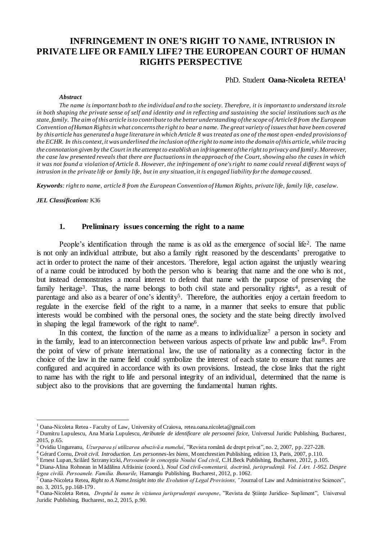# **INFRINGEMENT IN ONE'S RIGHT TO NAME, INTRUSION IN PRIVATE LIFE OR FAMILY LIFE? THE EUROPEAN COURT OF HUMAN RIGHTS PERSPECTIVE**

#### PhD. Student **Oana-Nicoleta RETEA<sup>1</sup>**

#### *Abstract*

*The name is important both to the individual and to the society. Therefore, it is important to understand its role in both shaping the private sense of self and identity and in reflecting and sustaining the social institutions such as the state, family. The aim of this article is to contribute to the better understanding of the scope of Article 8 from the European Convention of Human Rights in what concerns the right to bear a name. The great variety of issues that have been covered by this article has generated a huge literature in which Article 8 was treated as one of the most open -ended provisions of the ECHR. In this context, it was underlined the inclusion of the right to name into the domain of this article, while tracing the connotation given by the Court in the attempt to establish an infringement of the right to privacy and famil y. Moreover, the case law presented reveals that there are fluctuations in the approach of the Court, showing also the cases in which it was not found a violation of Article 8. However, the infringement of one's right to name could reveal different ways of* intrusion in the private life or family life, but in any situation, it is engaged liability for the damage caused.

*Keywords: right to name, article 8 from the European Convention of Human Rights, private life, family life, caselaw*.

*JEL Classification:* K36

 $\overline{a}$ 

# **1. Preliminary issues concerning the right to a name**

People's identification through the name is as old as the emergence of social life<sup>2</sup>. The name is not only an individual attribute, but also a family right reasoned by the descendants' prerogative to act in order to protect the name of their ancestors. Therefore, legal action against the unjustly wearing of a name could be introduced by both the person who is bearing that name and the one who is not, but instead demonstrates a moral interest to defend that name with the purpose of preserving the family heritage<sup>3</sup>. Thus, the name belongs to both civil state and personality rights<sup>4</sup>, as a result of parentage and also as a bearer of one's identity<sup>5</sup>. Therefore, the authorities enjoy a certain freedom to regulate in the exercise field of the right to a name, in a manner that seeks to ensure that public interests would be combined with the personal ones, the society and the state being directly involved in shaping the legal framework of the right to name<sup>6</sup>.

In this context, the function of the name as a means to individualize<sup>7</sup> a person in society and in the family, lead to an interconnection between various aspects of private law and public law<sup>8</sup>. From the point of view of private international law, the use of nationality as a connecting factor in the choice of the law in the name field could symbolize the interest of each state to ensure that names are configured and acquired in accordance with its own provisions. Instead, the close links that the right to name has with the right to life and personal integrity of an individual, determined that the name is subject also to the provisions that are governing the fundamental human rights.

<sup>1</sup> Oana-Nicoleta Retea - Faculty of Law, University of Craiova, [retea.oana.nicoleta@gmail.com](mailto:retea.oana.nicoleta@gmail.com)

<sup>2</sup> Dumitru Lupulescu, Ana Maria Lupulescu, *Atributele de identificare ale persoanei fizice,* Universul Juridic Publishing, Bucharest, 2015 n.65.

<sup>3</sup> Ovidiu Ungureanu, *Uzurparea și utilizarea abuzivă a numelui*, "Revista română de drept privat", no. 2, 2007, pp. 227-228.

<sup>4</sup> Gérard Cornu, *Droit civil. Introduction. Les personnes-les biens*, Montchrestien Publishing, edition 13, Paris, 2007, p.110.

<sup>5</sup> Ernest Lupan, Szilárd Sztranyiczki, *Persoanele în concepția Noului Cod civil*, C.H.Beck Publishing, Bucharest, 2012, p.105.

<sup>6</sup> Diana-Alina Rohnean in Mădălina Afrăsinie (coord.), *Noul Cod civil-comentarii, doctrină, jurisprudență. Vol. I Art. 1-952. Despre legea civilă. Persoanele. Familia. Bunurile,* Hamangiu Publishing, Bucharest, 2012, p. 1062.

<sup>7</sup> Oana-Nicoleta Retea, *Right to A Name.Insight into the Evolution of Legal Provisions, "*Journal of Law and Administrative Sciences", no. 3, 2015, pp.168-179 .

<sup>8</sup> Oana-Nicoleta Retea, *Dreptul la nume în viziunea jurisprudenței europene*, "Revista de Științe Juridice- Supliment", Universul Juridic Publishing, Bucharest, no.2, 2015, p.90.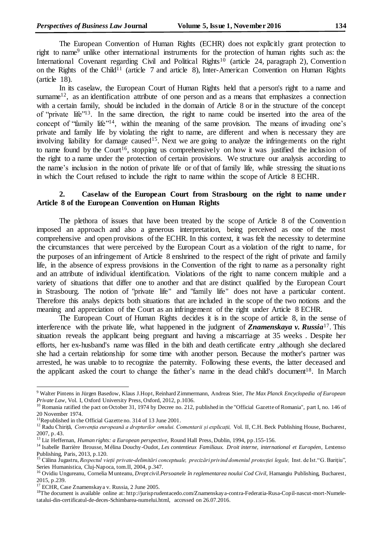The European Convention of Human Rights (ECHR) does not explicitly grant protection to right to name<sup>9</sup> unlike other international instruments for the protection of human rights such as: the International Covenant regarding Civil and Political Rights<sup>10</sup> (article 24, paragraph 2), Convention on the Rights of the Child<sup>11</sup> (article 7 and article 8), Inter-American Convention on Human Rights (article 18).

In its caselaw, the European Court of Human Rights held that a person's right to a name and surname<sup>12</sup>, as an identification attribute of one person and as a means that emphasizes a connection with a certain family, should be included in the domain of Article 8 or in the structure of the concept of "private life" 13 . In the same direction, the right to name could be inserted into the area of the concept of "family life"<sup>14</sup>, within the meaning of the same provision. The means of invading one's private and family life by violating the right to name, are different and when is necessary they are involving liability for damage caused<sup>15</sup>. Next we are going to analyze the infringements on the right to name found by the Court<sup>16</sup>, stopping us comprehensively on how it was justified the inclusion of the right to a name under the protection of certain provisions. We structure our analysis according to the name's inclusion in the notion of private life or of that of family life, while stressing the situations in which the Court refused to include the right to name within the scope of Article 8 ECHR.

# **2. Caselaw of the European Court from Strasbourg on the right to name under Article 8 of the European Convention on Human Rights**

The plethora of issues that have been treated by the scope of Article 8 of the Convention imposed an approach and also a generous interpretation, being perceived as one of the most comprehensive and open provisions of the ECHR. In this context, it was felt the necessity to determine the circumstances that were perceived by the European Court as a violation of the right to name, for the purposes of an infringement of Article 8 enshrined to the respect of the right of private and family life, in the absence of express provisions in the Convention of the right to name as a personality right and an attribute of individual identification. Violations of the right to name concern multiple and a variety of situations that differ one to another and that are distinct qualified by the European Court in Strasbourg. The notion of "private life" and "family life" does not have a particular content. Therefore this analys depicts both situations that are included in the scope of the two notions and the meaning and appreciation of the Court as an infringement of the right under Article 8 ECHR.

The European Court of Human Rights decides it is in the scope of article 8, in the sense of interference with the private life, what happened in the judgment of *Znamenskaya v. Russia*<sup>17</sup>. This situation reveals the applicant being pregnant and having a miscarriage at 35 weeks . Despite her efforts, her ex-husband's name was filled in the bith and death certificate entry ,although she declared she had a certain relationship for some time with another person. Because the mother's partner was arrested, he was unable to to recognize the paternity. Following these events, the latter deceased and the applicant asked the court to change the father's name in the dead child's document<sup>18</sup>. In March

<sup>9</sup> Walter Pintens in Jürgen Basedow, Klaus J.Hopt, Reinhard Zimmermann, Andreas Stier, *The Max Planck Encyclopedia of European Private Law*, Vol. I, Oxford University Press, Oxford, 2012, p.1036.

 $10$  Romania ratified the pact on October 31, 1974 by Decree no. 212, published in the "Official Gazette of Romania", part I, no. 146 of 20 November 1974.

<sup>11</sup>Republished in the Official Gazette no. 314 of 13 June 2001.

<sup>12</sup> Radu Chiriță, *Convenția europeană a drepturilor omului. Comentarii și explicații,* Vol. II, C.H. Beck Publishing House, Bucharest, 2007, p. 43.

<sup>&</sup>lt;sup>13</sup> Liz Heffernan, *Human rights: a European perspective*, Round Hall Press, Dublin, 1994, pp.155-156.

<sup>&</sup>lt;sup>14</sup> Isabelle Barrière Brousse, Mélina Douchy-Oudot, *Les contentieux Familiaux. Droit interne, international et Européen*, Lextenso Publishing, Paris, 2013, p.120.

<sup>15</sup> Călina Jugastru, *Respectul vieții private-delimitări conceptuale, precizări privind domeniul protecției legale,* Inst. de Ist."G. Bariţiu", Series Humanistica, Cluj-Napoca, tom.II, 2004, p.347.

<sup>&</sup>lt;sup>16</sup> Ovidiu Ungureanu, Cornelia Munteanu, *Drept civil. Persoanele în reglementarea noului Cod Civil*, Hamangiu Publishing, Bucharest, 2015, p.239.

<sup>17</sup> ECHR, Case Znamenskaya v. Russia, 2 June 2005.

<sup>18</sup>The document is available online at: http://jurisprudentacedo.com/Znamenskaya-contra-Federatia-Rusa-Copil-nascut-mort-Numeletatalui-din-certificatul-de-deces-Schimbarea-numelui.html, accessed on 26.07.2016.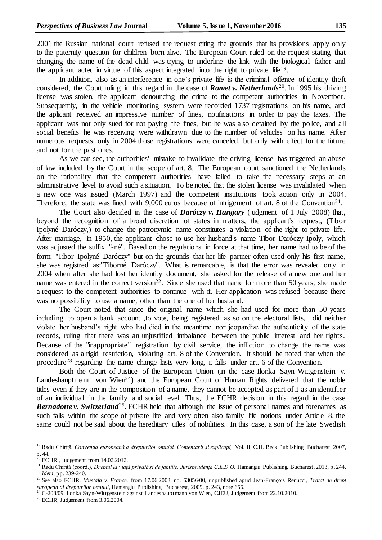2001 the Russian national court refused the request citing the grounds that its provisions apply only to the paternity question for children born alive. The European Court ruled on the request stating that changing the name of the dead child was trying to underline the link with the biological father and the applicant acted in virtue of this aspect integrated into the right to private life<sup>19</sup>.

In addition, also as an interference in one's private life is the criminal offence of identity theft considered, the Court ruling in this regard in the case of *Romet v. Netherlands*<sup>20</sup> . In 1995 his driving license was stolen, the applicant denouncing the crime to the competent authorities in November. Subsequently, in the vehicle monitoring system were recorded 1737 registrations on his name, and the aplicant received an impressive number of fines, notifications in order to pay the taxes. The applicant was not only sued for not paying the fines, but he was also detained by the police, and all social benefits he was receiving were withdrawn due to the number of vehicles on his name. After numerous requests, only in 2004 those registrations were canceled, but only with effect for the future and not for the past ones.

As we can see, the authorities' mistake to invalidate the driving license has triggered an abuse of law included by the Court in the scope of art. 8. The European court sanctioned the Netherlands on the rationality that the competent authorities have failed to take the necessary steps at an administrative level to avoid such a situation. To be noted that the stolen license was invalidated when a new one was issued (March 1997) and the competent institutions took action only in 2004. Therefore, the state was fined with  $9,000$  euros because of infrigement of art. 8 of the Convention<sup>21</sup>.

The Court also decided in the case of *Daróczy v. Hungary* (judgment of 1 July 2008) that, beyond the recognition of a broad discretion of states in matters, the applicant's request, (Tibor Ipolyné Daróczy,) to change the patronymic name constitutes a violation of the right to private life. After marriage, in 1950, the applicant chose to use her husband's name Tibor Daróczy Ipoly, which was adjusted the suffix "-né". Based on the regulations in force at that time, her name had to be of the form: "Tibor Ipolyné Daróczy" but on the grounds that her life partner often used only his first name, she was registred as:"Tiborné Daróczy". What is remarcable, is that the error was revealed only in 2004 when after she had lost her identity document, she asked for the release of a new one and her name was entered in the correct version<sup>22</sup>. Since she used that name for more than 50 years, she made a request to the competent authorities to continue with it. Her application was refused because there was no possibility to use a name, other than the one of her husband.

The Court noted that since the original name which she had used for more than 50 years including to open a bank account ,to vote, being registered as so on the electoral lists, did neither violate her husband's right who had died in the meantime nor jeopardize the authenticity of the state records, ruling that there was an unjustified imbalance between the public interest and her rights. Because of the "inappropriate" registration by civil service, the infliction to change the name was considered as a rigid restriction, violating art. 8 of the Convention. It should be noted that when the procedure<sup>23</sup> regarding the name change lasts very long, it falls under art. 6 of the Convention.

Both the Court of Justice of the European Union (in the case Ilonka Sayn-Wittgenstein v. Landeshauptmann von Wien<sup>24</sup>) and the European Court of Human Rights delivered that the noble titles even if they are in the composition of a name, they cannot be accepted as part of it as an identifier of an individual in the family and social level. Thus, the ECHR decision in this regard in the case Bernadotte v. Switzerland<sup>25</sup>. ECHR held that although the issue of personal names and forenames as such falls within the scope of private life and very often also family life notions under Article 8, the same could not be said about the hereditary titles of nobilities. In this case, a son of the late Swedish

<sup>19</sup> Radu Chiriță, *Convenția europeană a drepturilor omului. Comentarii și explicații,* Vol. II, C.H. Beck Publishing, Bucharest, 2007, p. 44.

 $20$  ECHR, Judgement from 14.02.2012.

<sup>21</sup> Radu Chiriță (coord.), *Dreptul la viață privată și de familie. Jurisprudența C.E.D.O.* Hamangiu Publishing, Bucharest, 2013, p. 244. <sup>22</sup> *Idem*, pp. 239-240.

<sup>23</sup> See also ECHR, *Mustafa v. France*, from 17.06.2003, no. 63056/00, unpublished apud Jean-François Renucci, *Tratat de drept european al drepturilor omului*, Hamangiu Publishing, Bucharest, 2009, p. 243, note 656.

 $^{24}$  C-208/09, Ilonka Sayn-Wittgenstein against Landeshauptmann von Wien, CJEU, Judgement from 22.10.2010.

 $25$  ECHR, Judgement from 3.06.2004.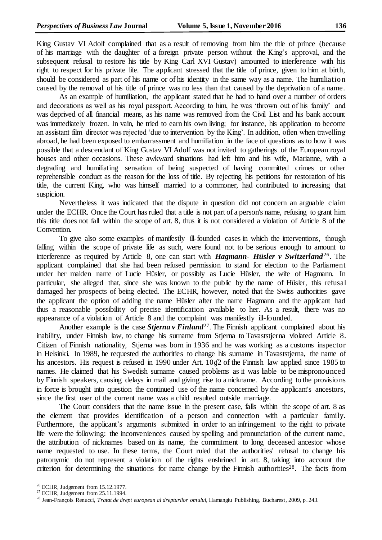King Gustav VI Adolf complained that as a result of removing from him the title of prince (because of his marriage with the daughter of a foreign private person without the King's approval, and the subsequent refusal to restore his title by King Carl XVI Gustav) amounted to interference with his right to respect for his private life. The applicant stressed that the title of prince, given to him at birth, should be considered as part of his name or of his identity in the same way as a name. The humiliation caused by the removal of his title of prince was no less than that caused by the deprivation of a name.

As an example of humiliation, the applicant stated that he had to hand over a number of orders and decorations as well as his royal passport. According to him, he was 'thrown out of his family' and was deprived of all financial means, as his name was removed from the Civil List and his bank account was immediately frozen. In vain, he tried to earn his own living; for instance, his application to become an assistant film director was rejected 'due to intervention by the King'. In addition, often when travelling abroad, he had been exposed to embarrassment and humiliation in the face of questions as to how it was possible that a descendant of King Gustav VI Adolf was not invited to gatherings of the European royal houses and other occasions. These awkward situations had left him and his wife, Marianne, with a degrading and humiliating sensation of being suspected of having committed crimes or other reprehensible conduct as the reason for the loss of title. By rejecting his petitions for restoration of his title, the current King, who was himself married to a commoner, had contributed to increasing that suspicion.

Nevertheless it was indicated that the dispute in question did not concern an arguable claim under the ECHR. Once the Court has ruled that a title is not part of a person's name, refusing to grant him this title does not fall within the scope of art. 8, thus it is not considered a violation of Article 8 of the Convention.

To give also some examples of manifestly ill-founded cases in which the interventions, though falling within the scope of private life as such, were found not to be serious enough to amount to interference as required by Article 8, one can start with *Hagmann- Hüsler v Switzerland*<sup>26</sup>. The applicant complained that she had been refused permission to stand for election to the Parliament under her maiden name of Lucie Hüsler, or possibly as Lucie Hüsler, the wife of Hagmann. In particular, she alleged that, since she was known to the public by the name of Hüsler, this refusal damaged her prospects of being elected. The ECHR, however, noted that the Swiss authorities gave the applicant the option of adding the name Hüsler after the name Hagmann and the applicant had thus a reasonable possibility of precise identification available to her. As a result, there was no appearance of a violation of Article 8 and the complaint was manifestly ill-founded.

Another example is the case *Stjerna v Finland*<sup>27</sup>. The Finnish applicant complained about his inability, under Finnish law, to change his surname from Stjerna to Tavaststjerna violated Article 8. Citizen of Finnish nationality, Stjerna was born in 1936 and he was working as a customs inspector in Helsinki. In 1989, he requested the authorities to change his surname in Tavaststjerna, the name of his ancestors. His request is refused in 1990 under Art. 10 $q2$  of the Finnish law applied since 1985 to names. He claimed that his Swedish surname caused problems as it was liable to be mispronounced by Finnish speakers, causing delays in mail and giving rise to a nickname. According to the provisions in force is brought into question the continued use of the name concerned by the applicant's ancestors, since the first user of the current name was a child resulted outside marriage.

The Court considers that the name issue in the present case, falls within the scope of art. 8 as the element that provides identification of a person and connection with a particular family. Furthermore, the applicant's arguments submitted in order to an infringement to the right to private life were the following: the inconveniences caused by spelling and pronunciation of the current name, the attribution of nicknames based on its name, the commitment to long deceased ancestor whose name requested to use. In these terms, the Court ruled that the authorities' refusal to change his patronymic do not represent a violation of the rights enshrined in art. 8, taking into account the criterion for determining the situations for name change by the Finnish authorities<sup>28</sup>. The facts from

 $26$  ECHR, Judgement from 15.12.1977.

<sup>27</sup> ECHR, Judgement from 25.11.1994.

<sup>28</sup> Jean-François Renucci, *Tratat de drept european al drepturilor omului*, Hamangiu Publishing, Bucharest, 2009, p. 243.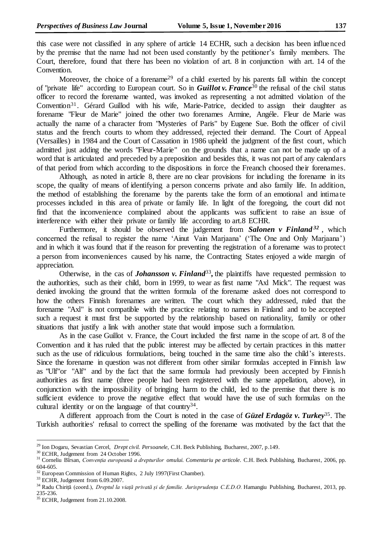this case were not classified in any sphere of article 14 ECHR, such a decision has been influenced by the premise that the name had not been used constantly by the petitioner's family members. The Court, therefore, found that there has been no violation of art. 8 in conjunction with art. 14 of the Convention.

Moreover, the choice of a forename<sup>29</sup> of a child exerted by his parents fall within the concept of "private life" according to European court. So in *Guillot v. France*<sup>30</sup> the refusal of the civil status officer to record the forename wanted, was invoked as representing a not admitted violation of the Convention<sup>31</sup>. Gérard Guillod with his wife, Marie-Patrice, decided to assign their daughter as forename "Fleur de Marie" joined the other two forenames Armine, Angéle. Fleur de Marie was actually the name of a character from "Mysteries of Paris" by Eugene Sue. Both the officer of civil status and the french courts to whom they addressed, rejected their demand. The Court of Appeal (Versailles) in 1984 and the Court of Cassation in 1986 upheld the judgment of the first court, which admitted just adding the words "Fleur-Marie" on the grounds that a name can not be made up of a word that is articulated and preceded by a preposition and besides this, it was not part of any calendars of that period from which according to the dispositions in force the Freanch choosed their forenames.

Although, as noted in article 8, there are no clear provisions for including the forename in its scope, the quality of means of identifying a person concerns private and also family life. In addition, the method of establishing the forename by the parents take the form of an emotional and intimate processes included in this area of private or family life. In light of the foregoing, the court did not find that the inconvenience complained about the applicants was sufficient to raise an issue of interference with either their private or family life according to art.8 ECHR.

Furthermore, it should be observed the judgement from *Salonen v Finland*<sup>32</sup>, which concerned the refusal to register the name 'Ainut Vain Marjaana' ('The One and Only Marjaana') and in which it was found that if the reason for preventing the registration of a forename was to protect a person from inconveniences caused by his name, the Contracting States enjoyed a wide margin of appreciation.

Otherwise, in the cas of *Johansson v. Finland*<sup>33</sup>, the plaintiffs have requested permission to the authorities, such as their child, born in 1999, to wear as first name "Axl Mick". The request was denied invoking the ground that the written formula of the forename asked does not correspond to how the others Finnish forenames are written. The court which they addressed, ruled that the forename "Axl" is not compatible with the practice relating to names in Finland and to be accepted such a request it must first be supported by the relationship based on nationality, family or other situations that justify a link with another state that would impose such a formulation.

As in the case Guillot v. France, the Court included the first name in the scope of art. 8 of the Convention and it has ruled that the public interest may be affected by certain practices in this matter such as the use of ridiculous formulations, being touched in the same time also the child's interests. Since the forename in question was not different from other similar formulas accepted in Finnish law as "Ulf"or "Alf" and by the fact that the same formula had previously been accepted by Finnish authorities as first name (three people had been registered with the same appellation, above), in conjunction with the impossibility of bringing harm to the child, led to the premise that there is no sufficient evidence to prove the negative effect that would have the use of such formulas on the cultural identity or on the language of that country<sup>34</sup>.

A different approach from the Court is noted in the case of *Güzel Erdagöz v. Turkey*<sup>35</sup>. The Turkish authorities' refusal to correct the spelling of the forename was motivated by the fact that the

<sup>29</sup> Ion Dogaru, Sevastian Cercel, *Drept civil. Persoanele*, C.H. Beck Publishing, Bucharest, 2007, p.149.

<sup>30</sup> ECHR, Judgement from 24 October 1996.

<sup>31</sup> Corneliu Bîrsan, *Convenția europeană a drepturilor omului. Comentariu pe articole*. C.H. Beck Publishing, Bucharest, 2006, pp. 604-605.

<sup>&</sup>lt;sup>32</sup> European Commission of Human Rights, 2 July 1997(First Chamber).

<sup>&</sup>lt;sup>33</sup> ECHR, Judgement from 6.09.2007.

<sup>34</sup> Radu Chiriță (coord.), *Dreptul la viață privată și de familie. Jurisprudența C.E.D.O.* Hamangiu Publishing, Bucharest, 2013, pp. 235-236.

<sup>35</sup> ECHR, Judgement from 21.10.2008.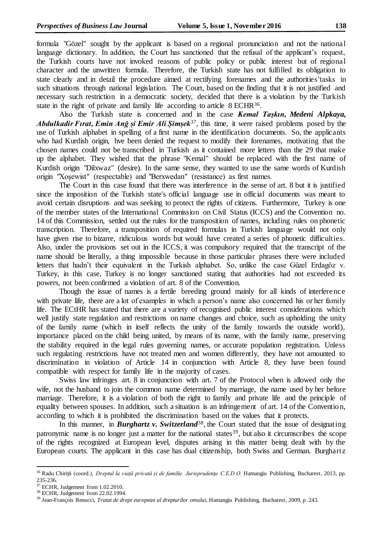formula "Gözel" sought by the applicant is based on a regional pronunciation and not the national language dictionary. In addition, the Court has sanctioned that the refusal of the applicant's request, the Turkish courts have not invoked reasons of public policy or public interest but of regional character and the unwritten formula. Therefore, the Turkish state has not fulfilled its obligation to state clearly and in detail the procedure aimed at rectifying forenames and the authorities'tasks in such situations through national legislation. The Court, based on the finding that it is not justified and necessary such restriction in a democratic society, decided that there is a violation by the Turkish state in the right of private and family life according to article  $8$  ECHR<sup>36</sup>.

Also the Turkish state is concerned and in the case *Kemal Tașkın, Medeni Alpkaya, Abdulkadir Fırat, Emin Anğ și Emir Ali Șimșek*<sup>37</sup> , this time, it were raised problems posed by the use of Turkish alphabet in spelling of a first name in the identification documents. So, the applicants who had Kurdish origin, hve been denied the request to modify their forenames, motivating that the chosen names could not be transcribed in Turkish as it contained more letters than the 29 that make up the alphabet. They wished that the phrase "Kemal" should be replaced with the first name of Kurdish origin "Dilxwaz" (desire). In the same sense, they wanted to use the same words of Kurdish origin "Xoşewist" (respectable) and "Berxwedan" (resistance) as first names.

The Court in this case found that there was interference in the sense of art. 8 but it is justified since the imposition of the Turkish state's official language use in official documents was meant to avoid certain disruptions and was seeking to protect the rights of citizens. Furthermore, Turkey is one of the member states of the International Commission on Civil Status (ICCS) and the Convention no. 14 of this Commission, settled out the rules for the transposition of names, including rules on phonetic transcription. Therefore, a transposition of required formulas in Turkish language would not only have given rise to bizarre, ridiculous words but would have created a series of phonetic difficulties. Also, under the provisions set out in the ICCS, it was compulsory required that the transcript of the name should be literally, a thing impossible because in those particular phrases there were included letters that hadn't their equivalent in the Turkish alphabet. So, unlike the case Güzel Erdagöz v. Turkey, in this case, Turkey is no longer sanctioned stating that authorities had not exceeded its powers, not been confirmed a violation of art. 8 of the Convention.

Though the issue of names is a fertile breeding ground mainly for all kinds of interference with private life, there are a lot of examples in which a person's name also concerned his or her family life. The ECtHR has stated that there are a variety of recognised public interest considerations which well justify state regulation and restrictions on name changes and choice, such as upholding the unity of the family name (which in itself reflects the unity of the family towards the outside world), importance placed on the child being united, by means of its name, with the family name, preserving the stability required in the legal rules governing names, or accurate population registration. Unless such regulating restrictions have not treated men and women differently, they have not amounted to discrimination in violation of Article 14 in conjunction with Article 8, they have been found compatible with respect for family life in the majority of cases.

Swiss law infringes art. 8 in conjunction with art. 7 of the Protocol when is allowed only the wife, not the husband to join the common name determined by marriage, the name used by her before marriage. Therefore, it is a violation of both the right to family and private life and the principle of equality between spouses. In addition, such a situation is an infringement of art. 14 of the Convention, according to which it is prohibited the discrimination based on the values that it protects.

In this manner, in *Burghartz v. Switzerland*<sup>38</sup>, the Court stated that the issue of designating patronymic name is no longer just a matter for the national states<sup>39</sup>, but also it circumscribes the scope of the rights recognized at European level, disputes arising in this matter being dealt with by the European courts. The applicant in this case has dual citizenship, both Swiss and German. Burghartz

<sup>36</sup> Radu Chiriță (coord.), *Dreptul la viață privată și de familie. Jurisprudența C.E.D.O.* Hamangiu Publishing, Bucharest, 2013, pp. 235-236.

<sup>&</sup>lt;sup>37</sup> ECHR, Judgement from 1.02.2010.

<sup>38</sup> ECHR, Judgement from 22.02.1994.

<sup>39</sup> Jean-François Renucci, *Tratat de drept european al drepturilor omului*, Hamangiu Publishing, Bucharest, 2009, p. 243.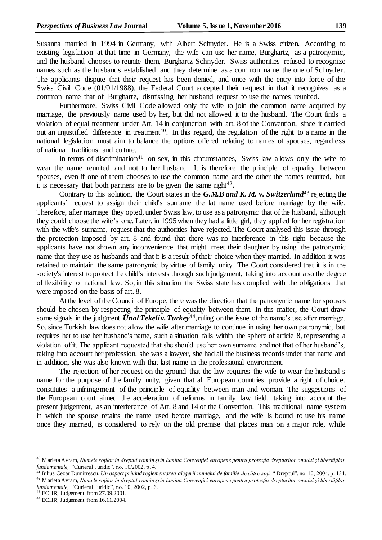Susanna married in 1994 in Germany, with Albert Schnyder. He is a Swiss citizen. According to existing legislation at that time in Germany, the wife can use her name, Burghartz, as a patronymic, and the husband chooses to reunite them, Burghartz-Schnyder. Swiss authorities refused to recognize names such as the husbands established and they determine as a common name the one of Schnyder. The applicants dispute that their request has been denied, and once with the entry into force of the Swiss Civil Code (01/01/1988), the Federal Court accepted their request in that it recognizes as a common name that of Burghartz, dismissing her husband request to use the names reunited.

Furthermore, Swiss Civil Code allowed only the wife to join the common name acquired by marriage, the previously name used by her, but did not allowed it to the husband. The Court finds a violation of equal treatment under Art. 14 in conjunction with art. 8 of the Convention, since it carried out an unjustified difference in treatment<sup>40</sup>. In this regard, the regulation of the right to a name in the national legislation must aim to balance the options offered relating to names of spouses, regardless of national traditions and culture.

In terms of discrimination<sup>41</sup> on sex, in this circumstances, Swiss law allows only the wife to wear the name reunited and not to her husband. It is therefore the principle of equality between spouses, even if one of them chooses to use the common name and the other the names reunited, but it is necessary that both partners are to be given the same right $42$ .

Contrary to this solution, the Court states in the *G.M.B and K. M. v. Switzerland*<sup>43</sup> rejecting the applicants' request to assign their child's surname the lat name used before marriage by the wife. Therefore, after marriage they opted, under Swiss law, to use as a patronymic that of the husband, although they could choose the wife's one. Later, in 1995 when they had a little girl, they applied for her registration with the wife's surname, request that the authorities have rejected. The Court analysed this issue through the protection imposed by art. 8 and found that there was no interference in this right because the applicants have not shown any inconvenience that might meet their daughter by using the patronymic name that they use as husbands and that it is a result of their choice when they married. In addition it was retained to maintain the same patronymic by virtue of family unity. The Court considered that it is in the society's interest to protect the child's interests through such judgement, taking into account also the degree of flexibility of national law. So, in this situation the Swiss state has complied with the obligations that were imposed on the basis of art. 8.

At the level of the Council of Europe, there was the direction that the patronymic name for spouses should be chosen by respecting the principle of equality between them. In this matter, the Court draw some signals in the judgment *Ünal Tekeliv. Turkey*<sup>44</sup>, ruling on the issue of the name's use after marriage. So, since Turkish law does not allow the wife after marriage to continue in using her own patronymic, but requires her to use her husband's name, such a situation falls within the sphere of article 8, representing a violation of it. The applicant requested that she should use her own surname and not that of her husband's, taking into account her profession, she was a lawyer, she had all the business records under that name and in addition, she was also known with that last name in the professional environment.

The rejection of her request on the ground that the law requires the wife to wear the husband's name for the purpose of the family unity, given that all European countries provide a right of choice, constitutes a infringement of the principle of equality between man and woman. The suggestions of the European court aimed the acceleration of reforms in family law field, taking into account the present judgement, as an interference of Art. 8 and 14 of the Convention. This traditional name system in which the spouse retains the name used before marriage, and the wife is bound to use his name once they married, is considered to rely on the old premise that places man on a major role, while

<sup>40</sup> Marieta Avram, *Numele soților în dreptul român și în lumina Convenției europene pentru protecția drepturilor omului și libertăților fundamentale, "*Curierul Juridic", no. 10/2002, p. 4.

<sup>41</sup> Iulius Cezar Dumitrescu, *Un aspect privind reglementarea alegerii numelui de familie de către soți,* " Dreptul", no. 10, 2004, p. 134. <sup>42</sup> Marieta Avram, *Numele soților în dreptul român și în lumina Convenției europene pentru protecția drepturilor omului și libertăților* 

*fundamentale, "*Curierul Juridic", no. 10, 2002, p. 6.

 $43$  ECHR, Judgement from 27.09.2001.

<sup>44</sup> ECHR, Judgement from 16.11.2004.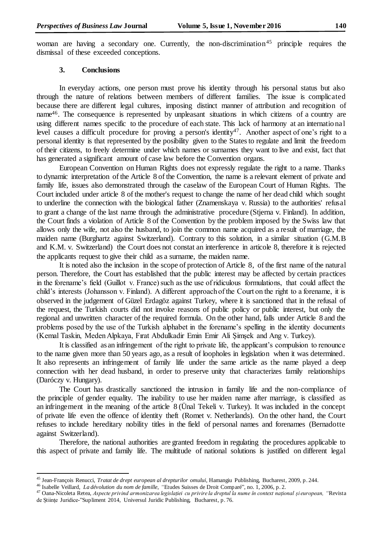woman are having a secondary one. Currently, the non-discrimination<sup>45</sup> principle requires the dismissal of these exceeded conceptions.

## **3. Conclusions**

In everyday actions, one person must prove his identity through his personal status but also through the nature of relations between members of different families. The issue is complicated because there are different legal cultures, imposing distinct manner of attribution and recognition of name<sup>46</sup>. The consequence is represented by unpleasant situations in which citizens of a country are using different names specific to the procedure of each state. This lack of harmony at an international level causes a difficult procedure for proving a person's identity<sup>47</sup>. Another aspect of one's right to a personal identity is that represented by the posibility given to the States to regulate and limit the freedom of their citizens, to freely determine under which names or surnames they want to live and exist, fact that has generated a significant amount of case law before the Convention organs.

European Convention on Human Rights does not expressly regulate the right to a name. Thanks to dynamic interpretation of the Article 8 of the Convention, the name is a relevant element of private and family life, issues also demonstrated through the caselaw of the European Court of Human Rights. The Court included under article 8 of the mother's request to change the name of her dead child which sought to underline the connection with the biological father (Znamenskaya v. Russia) to the authorities' refusal to grant a change of the last name through the administrative procedure (Stjerna v. Finland). In addition, the Court finds a violation of Article 8 of the Convention by the problem imposed by the Swiss law that allows only the wife, not also the husband, to join the common name acquired as a result of marriage, the maiden name (Burghartz against Switzerland). Contrary to this solution, in a similar situation (G.M.B and K.M. v. Switzerland) the Court does not constat an interference in articole 8, therefore it is rejected the applicants request to give their child as a surname, the maiden name.

It is noted also the inclusion in the scope of protection of Article 8, of the first name of the natural person. Therefore, the Court has established that the public interest may be affected by certain practices in the forename's field (Guillot v. France) such as the use of ridiculous formulations, that could affect the child's interests (Johansson v. Finland). A different approach of the Court on the right to a forename, it is observed in the judgement of Güzel Erdagöz against Turkey, where it is sanctioned that in the refusal of the request, the Turkish courts did not invoke reasons of public policy or public interest, but only the regional and unwritten character of the required formula. On the other hand, falls under Article 8 and the problems posed by the use of the Turkish alphabet in the forename's spelling in the identity documents (Kemal Taskin, Meden Alpkaya, Fırat Abdulkadir Emin Emir Ali Şimşek and Ang v. Turkey).

It is classified as an infringement of the right to private life, the applicant's compulsion to renounce to the name given more than 50 years ago, as a result of loopholes in legislation when it was determined. It also represents an infringement of family life under the same article as the name played a deep connection with her dead husband, in order to preserve unity that characterizes family relationships (Daróczy v. Hungary).

The Court has drastically sanctioned the intrusion in family life and the non-compliance of the principle of gender equality. The inability to use her maiden name after marriage, is classified as an infringement in the meaning of the article 8 (Ünal Tekeli v. Turkey). It was included in the concept of private life even the offence of identity theft (Romet v. Netherlands). On the other hand, the Court refuses to include hereditary nobility titles in the field of personal names and forenames (Bernadotte against Switzerland).

Therefore, the national authorities are granted freedom in regulating the procedures applicable to this aspect of private and family life. The multitude of national solutions is justified on different legal

<sup>45</sup> Jean-François Renucci, *Tratat de drept european al drepturilor omului*, Hamangiu Publishing, Bucharest, 2009, p. 244.

<sup>46</sup> Isabelle Veillard, *La dévolution du nom de famille*, *"*Etudes Suisses de Droit Comparé", no. 1, 2006, p. 2.

<sup>47</sup> Oana-Nicoleta Retea, *Aspecte privind armonizarea legislației cu privire la dreptul la nume în context național și european, "*Revista de Științe Juridice-"Supliment 2014, Universul Juridic Publishing, Bucharest, p. 76.